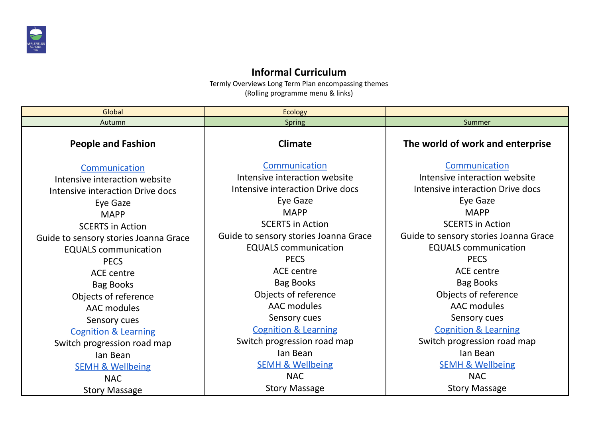

## **Informal Curriculum**

Termly Overviews Long Term Plan encompassing themes (Rolling programme menu & links)

| Global                                | <b>Ecology</b>                        |                                       |
|---------------------------------------|---------------------------------------|---------------------------------------|
| Autumn                                | <b>Spring</b>                         | Summer                                |
| <b>People and Fashion</b>             | <b>Climate</b>                        | The world of work and enterprise      |
| Communication                         | Communication                         | Communication                         |
| Intensive interaction website         | Intensive interaction website         | Intensive interaction website         |
| Intensive interaction Drive docs      | Intensive interaction Drive docs      | Intensive interaction Drive docs      |
| Eye Gaze                              | Eye Gaze                              | Eye Gaze                              |
| <b>MAPP</b>                           | <b>MAPP</b>                           | <b>MAPP</b>                           |
| <b>SCERTS in Action</b>               | <b>SCERTS in Action</b>               | <b>SCERTS in Action</b>               |
| Guide to sensory stories Joanna Grace | Guide to sensory stories Joanna Grace | Guide to sensory stories Joanna Grace |
| <b>EQUALS</b> communication           | <b>EQUALS</b> communication           | <b>EQUALS</b> communication           |
| <b>PECS</b>                           | <b>PECS</b>                           | <b>PECS</b>                           |
| ACE centre                            | <b>ACE</b> centre                     | <b>ACE centre</b>                     |
| <b>Bag Books</b>                      | <b>Bag Books</b>                      | <b>Bag Books</b>                      |
| Objects of reference                  | Objects of reference                  | Objects of reference                  |
| <b>AAC</b> modules                    | AAC modules                           | AAC modules                           |
| Sensory cues                          | Sensory cues                          | Sensory cues                          |
| <b>Cognition &amp; Learning</b>       | <b>Cognition &amp; Learning</b>       | <b>Cognition &amp; Learning</b>       |
| Switch progression road map           | Switch progression road map           | Switch progression road map           |
| lan Bean                              | lan Bean                              | lan Bean                              |
| <b>SEMH &amp; Wellbeing</b>           | <b>SEMH &amp; Wellbeing</b>           | <b>SEMH &amp; Wellbeing</b>           |
| <b>NAC</b>                            | <b>NAC</b>                            | <b>NAC</b>                            |
| <b>Story Massage</b>                  | <b>Story Massage</b>                  | <b>Story Massage</b>                  |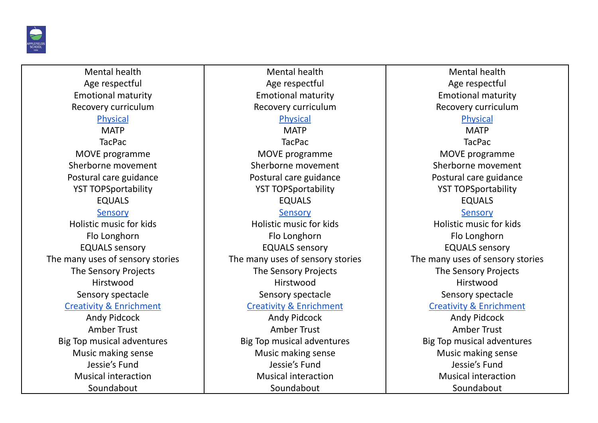

Mental health Age respectful Emotional maturity Recovery curriculum Physical **MATP** TacPac MOVE programme Sherborne movement Postural care guidance YST TOPSportability EQUALS Sensory Holistic music for kids Flo Longhorn EQUALS sensory The many uses of sensory stories The Sensory Projects Hirstwood Sensory spectacle Creativity & Enrichment Andy Pidcock Amber Trust Big Top musical adventures Music making sense Jessie's Fund Musical interaction Soundabout

Mental health Age respectful Emotional maturity Recovery curriculum Physical **MATP** TacPac MOVE programme Sherborne movement Postural care guidance YST TOPSportability EQUALS Sensory Holistic music for kids Flo Longhorn EQUALS sensory The many uses of sensory stories The Sensory Projects Hirstwood Sensory spectacle Creativity & Enrichment Andy Pidcock Amber Trust Big Top musical adventures Music making sense Jessie's Fund Musical interaction Soundabout

Mental health Age respectful Emotional maturity Recovery curriculum Physical **MATP** TacPac MOVE programme Sherborne movement Postural care guidance YST TOPSportability EQUALS Sensory Holistic music for kids Flo Longhorn EQUALS sensory The many uses of sensory stories The Sensory Projects **Hirstwood** Sensory spectacle Creativity & Enrichment Andy Pidcock Amber Trust Big Top musical adventures Music making sense Jessie's Fund Musical interaction Soundabout